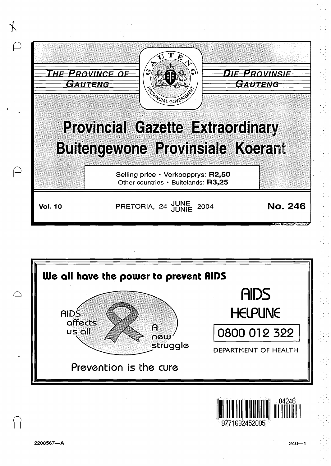



IIIII I 1111 II lilllllllllllllll 9771682452005

n

 $\mathbf{r}$ .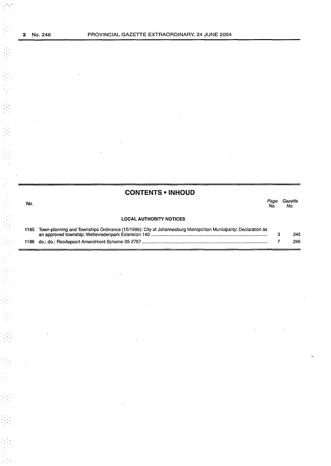| <b>CONTENTS • INHOUD</b> |  |
|--------------------------|--|
|                          |  |

| No.  |                                                                                                                 | Page<br>No. | Gazette<br>No. |
|------|-----------------------------------------------------------------------------------------------------------------|-------------|----------------|
|      | <b>LOCAL AUTHORITY NOTICES</b>                                                                                  |             |                |
| 1185 | Town-planning and Townships Ordinance (15/1986): City of Johannesburg Metropolitan Municipality: Declaration as |             | 246            |

7

246

1186 do.: do.: Roodepoort Amendment Scheme 05-2757 .................................................................................................... .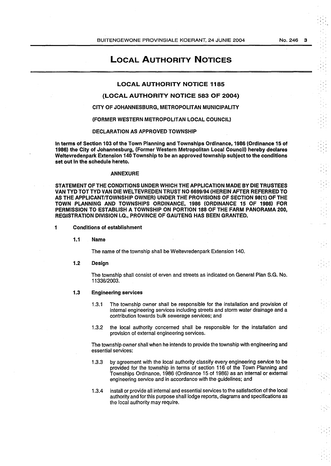LOCAL AUTHORITY NOTICES

## LOCAL AUTHORITY NOTICE 1185

# (LOCAL AUTHORITY NOTICE 583 OF 2004)

## CITY OF JOHANNESBURG, METROPOLITAN MUNICIPALITY

(FORMER WESTERN METROPOLITAN LOCAL COUNCIL)

## DECLARATION AS APPROVED TOWNSHIP

In terms of Section 103 of the Town Planning and Townships Ordinance, 1986 (Ordinance 15 of 1986) the City of Johannesburg, (Former Western Metropolitan Local Council) hereby declares Weltevredenpark Extension 140 Township to be an approved township subject to the conditions set out in the schedule hereto.

## ANNEXURE

STATEMENT OF THE CONDITIONS UNDER WHICH THE APPLICATION MADE BY DIE TRUSTEES VAN TYD TOT TYD VAN DIE WEL TEVREDEN TRUST NO 6699/94 (HEREIN AFTER REFERRED TO AS THE APPLICANT/TOWNSHIP OWNER) UNDER THE PROVISIONS OF SECTION 98(1) OF THE TOWN PLANNING AND TOWNSHIPS ORDINANCE, 1986 (ORDINANCE 15 OF 1986) FOR PERMISSION TO ESTABLISH A TOWNSHIP ON PORTION 188 OF THE FARM PANORAMA 200, REGISTRATION DIVISION I.Q., PROVINCE OF GAUTENG HAS BEEN GRANTED.

- 1 Conditions of establishment
	- 1.1 Name

The name of the township shall be Weltevredenpark Extension 140.

1.2 Design

> The township shall consist of erven and streets as indicated on General Plan S.G. No. 11336/2003.

#### 1.3 Engineering services

- 1.3.1 The township owner shall be responsible for the installation and provision of internal engineering services including streets and storm water drainage and a contribution towards bulk sewerage services; and
- 1.3.2 the local authority concerned shall be responsible for the installation and provision of external engineering services.

The township owner shall when he intends to provide the township with engineering and essential services:

- 1.3.3 by agreement with the local authority classify every engineering service to be provided for the township in terms of section 116 of the Town Planning and Townships Ordinance, 1986 (Ordinance 15 of 1986) as an internal or external engineering service and in accordance with the guidelines; and
- 1.3.4 install or provide all internal and essential services to the satisfaction of the local authority and for this purpose shall lodge reports, diagrams and specifications as the local authority may require.

No.246 3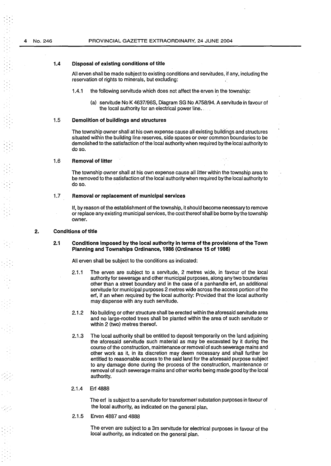## 1.4 **Disposal of existing conditions of title**

All erven shall be made subject to existing conditions and servitudes, if any, including the reservation of rights to minerals, but excluding:

- 1.4.1 the following servitude which does not affect the erven in the township:
	- (a) servitude No K 4637/968, Diagram SG No A758/94. A servitude in favour of the local authority for an electrical power line.

#### 1.5 **Demolition of buildings and structures**

The township owner shall at his own expense cause all existing buildings and structures situated within the building line reserves, side spaces or over common boundaries to be demolished to the satisfaction of the local authority when required by the local authority to do so.

#### 1.6 **Removal of litter**

The township owner shall at his own expense cause all litter within the township area to be removed to the satisfaction of the local authority when required by the local authority to do so.

#### 1. 7 **Removal or replacement of municipal services**

If, by reason of the establishment of the township, it should become necessary to remove or replace any existing municipal services, the cost thereof shall be borne by the township owner.

#### **2. Conditions of title**

**2.1 Conditions imposed by the local authority in terms of the provisions of the Town Planning and Townships Ordinance, 1986 (Ordinance 15 of 1986)** 

All erven shall be subject to the conditions as indicated:

- 2.1.1 The erven are subject to a servitude, 2 metres wide, in favour of the local authority for sewerage and other municipal purposes, along any two boundaries other than a street boundary and in the case of a panhandle erf, an additional servitude for municipal purposes 2 metres wide across the access portion of the erf, if an when required by the local authority: Provided that the local authority may dispense with any such servitude.
- 2.1.2 No building or other structure shall be erected within the aforesaid servitude area and no large-rooted trees shall be planted within the area of such servitude or within 2 (two) metres thereof.
- 2.1.3 The local authority shall be entitled to deposit temporarily on the land adjoining the aforesaid servitude such material as may be excavated by it during the course of the construction, maintenance or removal of such sewerage mains and other work as it, in its discretion may deem necessary and shall further be entitled to reasonable access to the said land for the aforesaid purpose subject to any damage done during the process of the construction, maintenance or removal of such sewerage mains and other works being made good by the local authority.
- 2.1.4 Erf 4888

The erf is subject to a servitude for transformer/ substation purposes in favour of the local authority, as indicated on the general plan.

2.1.5 Erven 4887 and 4888

> The erven are subject to a 3m servitude for electrical purposes in favour of the local authority, as indicated on the general plan.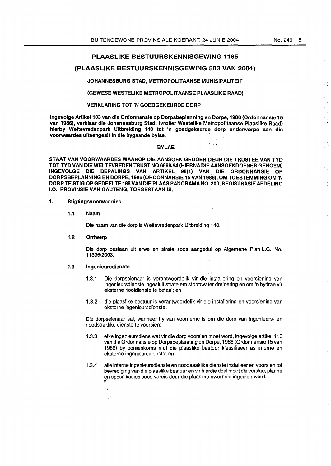# PLAASLIKE BESTUURSKENNISGEWING 1185

## (PLAASLIKE BESTUURSKENNISGEWING 583 VAN 2004)

#### JOHANNESBURG STAD, METROPOLITAANSE MUNISIPALITEIT

#### (GEWESE WESTELIKE METROPOLITAANSE PLAASLIKE RAAD)

# VERKLARING TOT 'N GOEDGEKEURDE DORP

Ingevolge Artikel 103 van die Ordonnansie op Dorpsbeplanning en Dorpe, 1986 (Ordonnansie 15 van 1986), verklaar die Johannesburg Stad, (vroeer Westelike Metropolitaanse Plaaslike Raad) hierby Weltevredenpark Uitbreiding 140 tot 'n goedgekeurde dorp onderworpe aan die voorwaardes uiteengesit in die bygaande bylae.

#### BYLAE

kis.

STAAT VAN VOORWAARDES WAAROP DIE AANSOEK GEDOEN DEUR DIE TRUSTEE VAN TYD TOT TYD VAN DIE WEL TEVREDEN TRUST NO 6699/94 (HIERNA DIE AANSOEKDOENER GENOEM) INGEVOLGE DIE BEPALINGS VAN ARTIKEL 98(1) VAN DIE ORDONNANSIE OP DORPSBEPLANNING EN DORPE, 1986 (ORDONNANSIE 15 VAN 19S6), OM TOESTEMMING OM 'N DORP TE STIG OP GEDEELTE 188 VAN DIE PLAAS PANORAMA NO. 200, REGISTRASIE AFDELING I.Q., PROVINSIE VAN GAUTENG, TOEGESTAAN IS.

## 1. Stigtingsvoorwaardes

#### 1.1 Naam

Die naam van die dorp is Weltevredenpark Uitbreiding 140.

### 1.2 Ontwerp

Die dorp bestaan uit erwe en strate soos aangedui op Algemene Plan L.G. No. 11336/2003.

#### 1.3 lngenieursdienste

- . ' 1.3.1 Die dorpseienaar is verantwoordelik vir die- installering en voorsiening van ingenieursdienste ingesluit strate em stormwater dreinering en om 'n bydrae vir eksterne riooldienste te betaal; en
- 1.3.2 die plaaslike bestuur is verantwoordelik vir die installering en voorsiening van eksterne ingenieursdienste.

Die dorpseienaar sal, wanneer hy van voorneme is om die dorp van ingenieurs- en noodsaaklike dienste te voorsien:

- 1.3.3 elke ingenieursdiens wat vir die dorp voorsien meet word, ingevolge artikel116 van die Ordonnansie op Dorpsbeplanning en Dorpe, 1986 (Ordonnansie 15 van 1986) by ooreenkoms met die plaaslike bestuur klassifiseer as interne en eksterne ingenieursdienste; en
- 1.3.4 aile interne ingenieursdienste en noodsaaklike dienste installeer en voorsien tot bevrediging van die plaaslike bestuur en vir hierdie doel moet die verslae, planne en spesifikasies soos vereis deur die plaaslike owerheid ingedien word. *i*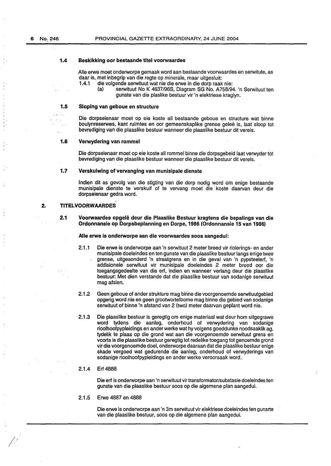#### 1.4 Beskikking oor bestaande titel voorwaardes

Aile erwe meet onderworpe gemaak word aan bestaande voorwaardes en serwitute, as daar is, met inbegrip van die regte op minerale, maar uitgesluit:

- die volgende serwituut wat nie die erwe in die dorp raak nie:
	- (a) serwituut No K 4637/968, Diagram SG No. A758/94. 'n Serwituut ten gunste van die plaslike bestuur vir 'n elektriese kraglyn.

## 1.5 Sloping van geboue en structure

Die dorpseienaar meet op eie koste all bestaande geboue en structure wat binne boulynreserwes, kant ruimtes en oor gemeenskaplike grense geleë is, laat sloop tot bevrediging van die plaaslike bestuur wanneer die plaaslike bestuur dit vereis.

#### 1.6 Verwydering van rommel

Die dorpseienaar meet op eie koste all rom mel binne die dorpsgebeid Jaat verwyder tot bevrediging van die plaaslike bestuur wanneer die plaaslike bestuur dit vereis.

### 1.7 Verskuiwing of vervanging van munisipale dienste

lndien dit as gevolg van die stigting van die dorp nodig word om enige bestaande munisipale dienste te verskuif of te vervang meet die koste daarvan deur die dorpseienaar gedra word.

### 2. TITELVOORWAARDES

2.1 Voorwaardes opgele deur die Plaaslike Bestuur kragtens die bepalings van die Ordonnansie op Dorpsbeplanning en Dorpe, 1986 (Ordonnansie 15 van 1986)

#### Aile erwe is onderworpe aan die voorwaardes soos aangedui:

- 2.1.1 Die erwe is onderworpe aan 'n serwituut 2 meter breed vir riolerings- en ander munisipale doeleindes en ten gunste van die plaaslike bestuur fangs enige twee grense, uitgesonderd 'n straatgrens en in die geval van 'n pypsteelerf, 'n addisionele' serwituut vir munisipale doeleindes 2 meter breed oor die toegangsgedeelte van die erf, indien en wanneer verlang deur die plaaslike bestuur: Met dien verstande dat die plaaslike bestuur van sodanige serwituut mag afsien.
- 2.1.2 Geen geboue of ander strukture mag bin'ne die voorgenoemde serwituutgebied opgerig word nie en geen grootwortelbome mag binne die gebied van sodanige serwituut of binne 'n afstand van 2 (two) meter daarvan geplant word nie.
- 2.1.3 Die plaaslike bestuur is geregtig om enige materiaal wat deur hom uitgegrawe word tydens die aanleg, onderhoud of verwydering van sodanige rioolhoofpypleidings en ander werke wat hy volgens goeddunke noodsaaklik ag, tydelik te plaas op die grond wat aan die voorgenoemde serwituut grens en voorts is die plaaslike bestuur geregtig tot redelike toegang tot genoemde grond vir die voorgenoemde doel, onderworpe daaraan dat die plaaslike bestuur enige skade vergoed wat gedurende die aanleg, onderhoud of verwyderings van sodanige rioolhoofpypleidings en ander werke veroorsaak word.

#### 2.1.4 Erf 4888

*1/* 

Die erf is onderworpe aan 'n serwituut vir transformator/substasie doeleindes ten gunste van die plaaslike bestuur soos op die algemene plan aangedui.

2.1.5 Erwe 4887 en 4888

Die erwe is onderworpe aan 'n 3m serwituut vir elektriese doeleindes ten gunsrte van die plaaslike bestuur, soos op die algemene plan aangedui.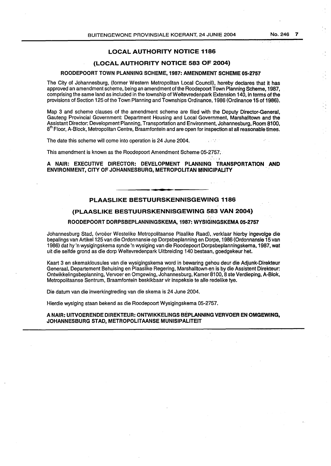# LOCAL AUTHORITY NOTICE 1186

# (LOCAL AUTHORITY NOTICE 583 OF 2004)

## ROODEPOORT TOWN PLANNING SCHEME, 1987: AMENDMENT SCHEME 05-2757

The City of Johannesburg, (former Western Metropolitan Local Council), hereby declares that it has approved an amendment scheme, being an amendment of the Roodepoort Town Planning Scheme, 1987, comprising the same land as included in the township of Weltevredenpark Extension 140, in terms of the provisions of Section 125 of the Town Planning and Townships Ordinance, 1986 (Ordinance 15 of 1986).

Map 3 and scheme clauses of the amendment scheme are filed with the Deputy Director-General, Gauteng Provincial Government: Department Housing and Local Government, Marshalltown and the Assistant Director: Development Planning, Transportation and Environment, Johannesburg, Room 8100,  $8<sup>th</sup>$  Floor, A-Block, Metropolitan Centre, Braamfontein and are open for inspection at all reasonable times.

The date this scheme will come into operation is 24 June 2004.

This amendment is known as the Roodepoort Amendment Scheme 05-2757:

 $\cdot$  .  $\cdot$  ' A NAIR: EXECUTIVE DIRECTOR: DEVELOPMENT PLANNING TRANSPORTATION AND ENVIRONMENT, CITY OF JOHANNESBURG, METROPOLITAN MlNICIPAUTY

# PLAASLIKE BESTUURSKENNISGEWING 1186

# (PLAASLIKE BESTUURSKENNISGEWING 583 VAN 2004)

## ROODEPOORT DORPSBEPLANNINGSKEMA, 1987: WYSIGINGSKEMA 05-2757

Johannesburg Stad, (vroëer Westelike Metropolitaanse Plaalike Raad), verklaar hierby ingevolge die bepalings van Artikel 125 van die Ordonnansie op Dorpsbeplanning en Dorpe, 1986 (Ordonnansie 15 van 1986) dat hy 'n wysigingskema synde 'n wysiging van die Roodepoort Dorpsbeplanningskema, 1987, wat uit die selfde grond as die dorp Weltevredenpark Uitbreiding 140 bestaan, goedgekeur het.

Kaart 3 en skemaklousules van die wysigingskema word in bewaring gehou deur die Adjunk-Direkteur Generaal, Departement Behuising en Plaaslike Regering, Marshalltown, en is by die Assistant Direkteur: Ontwikkelingsbeplanning, Vervoer en Omgewing, Johannesburg, Kamer 8100, 8 ste Verdieping, A-Biok, Metropolitaanse Sentrum, Braamfontein beskikbaar vir inspeksie te aile redelike tye.

Die datum van die inwerkingtreding van die skema is 24 June 2004.

Hierdie wysiging staan bekend as die Roodepoort Wysigingskema 05-2757.

## A NAIR: UITVOERENDE DIREKTEUR: ONTWIKKELINGS BEPLANNING VERVOER EN OMGEWJNG, JOHANNESBURG STAD, METROPOLITAANSE MUNISIPALJTEIT